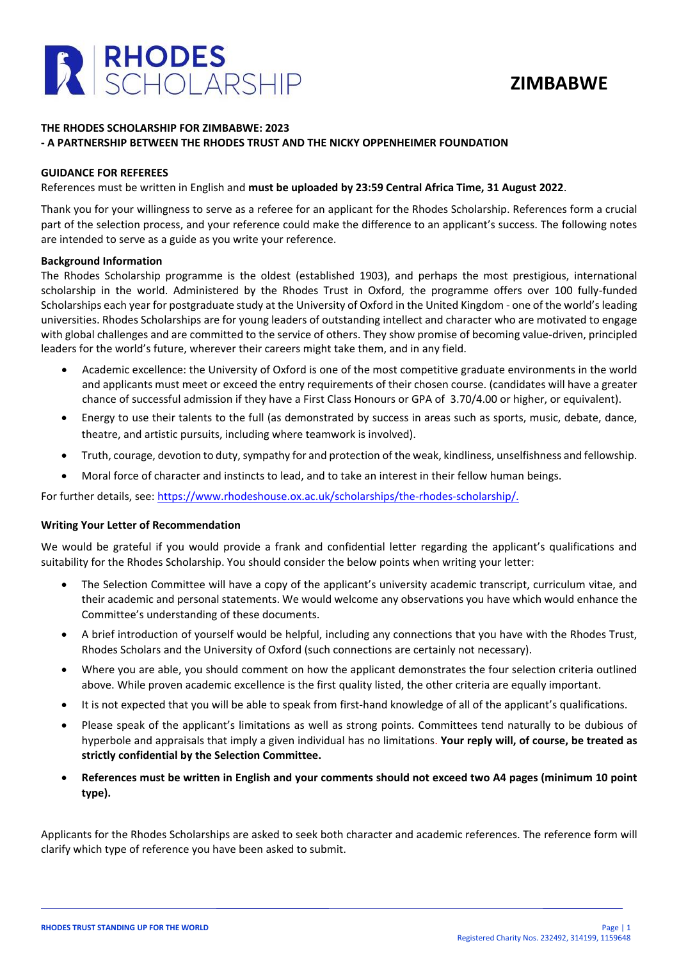



## **THE RHODES SCHOLARSHIP FOR ZIMBABWE: 2023 - A PARTNERSHIP BETWEEN THE RHODES TRUST AND THE NICKY OPPENHEIMER FOUNDATION**

### **GUIDANCE FOR REFEREES**

References must be written in English and **must be uploaded by 23:59 Central Africa Time, 31 August 2022**.

Thank you for your willingness to serve as a referee for an applicant for the Rhodes Scholarship. References form a crucial part of the selection process, and your reference could make the difference to an applicant's success. The following notes are intended to serve as a guide as you write your reference.

### **Background Information**

The Rhodes Scholarship programme is the oldest (established 1903), and perhaps the most prestigious, international scholarship in the world. Administered by the Rhodes Trust in Oxford, the programme offers over 100 fully-funded Scholarships each year for postgraduate study at the University of Oxford in the United Kingdom - one of the world's leading universities. Rhodes Scholarships are for young leaders of outstanding intellect and character who are motivated to engage with global challenges and are committed to the service of others. They show promise of becoming value-driven, principled leaders for the world's future, wherever their careers might take them, and in any field.

- Academic excellence: the University of Oxford is one of the most competitive graduate environments in the world and applicants must meet or exceed the entry requirements of their chosen course. (candidates will have a greater chance of successful admission if they have a First Class Honours or GPA of 3.70/4.00 or higher, or equivalent).
- Energy to use their talents to the full (as demonstrated by success in areas such as sports, music, debate, dance, theatre, and artistic pursuits, including where teamwork is involved).
- Truth, courage, devotion to duty, sympathy for and protection of the weak, kindliness, unselfishness and fellowship.
- Moral force of character and instincts to lead, and to take an interest in their fellow human beings.

For further details, see: [https://www.rhodeshouse.ox.ac.uk](http://www.rhodeshouse.ox.ac.uk/)[/scholarships/the-rhodes-scholarship/.](https://www.rhodeshouse.ox.ac.uk/scholarships/the-rhodes-scholarship/)

### **Writing Your Letter of Recommendation**

We would be grateful if you would provide a frank and confidential letter regarding the applicant's qualifications and suitability for the Rhodes Scholarship. You should consider the below points when writing your letter:

- The Selection Committee will have a copy of the applicant's university academic transcript, curriculum vitae, and their academic and personal statements. We would welcome any observations you have which would enhance the Committee's understanding of these documents.
- A brief introduction of yourself would be helpful, including any connections that you have with the Rhodes Trust, Rhodes Scholars and the University of Oxford (such connections are certainly not necessary).
- Where you are able, you should comment on how the applicant demonstrates the four selection criteria outlined above. While proven academic excellence is the first quality listed, the other criteria are equally important.
- It is not expected that you will be able to speak from first-hand knowledge of all of the applicant's qualifications.
- Please speak of the applicant's limitations as well as strong points. Committees tend naturally to be dubious of hyperbole and appraisals that imply a given individual has no limitations. **Your reply will, of course, be treated as strictly confidential by the Selection Committee.**
- **References must be written in English and your comments should not exceed two A4 pages (minimum 10 point type).**

Applicants for the Rhodes Scholarships are asked to seek both character and academic references. The reference form will clarify which type of reference you have been asked to submit.